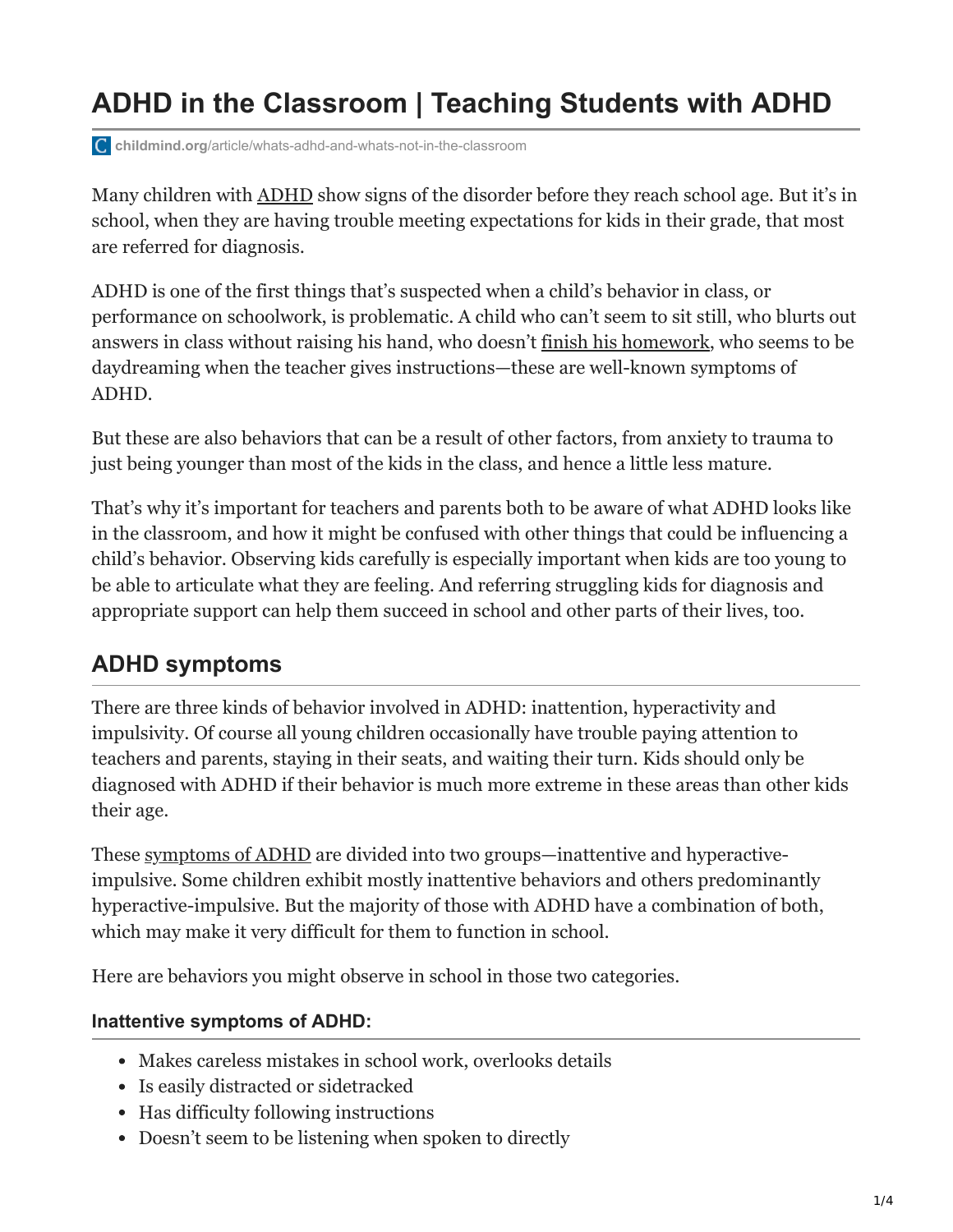# **ADHD in the Classroom | Teaching Students with ADHD**

**childmind.org**[/article/whats-adhd-and-whats-not-in-the-classroom](https://childmind.org/article/whats-adhd-and-whats-not-in-the-classroom/)

Many children with [ADHD](https://childmind.org/topics/disorders/attention-deficit-hyperactivity-disorder/) show signs of the disorder before they reach school age. But it's in school, when they are having trouble meeting expectations for kids in their grade, that most are referred for diagnosis.

ADHD is one of the first things that's suspected when a child's behavior in class, or performance on schoolwork, is problematic. A child who can't seem to sit still, who blurts out answers in class without raising his hand, who doesn't [finish his homework](https://childmind.org/article/strategies-to-make-homework-go-more-smoothly/), who seems to be daydreaming when the teacher gives instructions—these are well-known symptoms of ADHD.

But these are also behaviors that can be a result of other factors, from anxiety to trauma to just being younger than most of the kids in the class, and hence a little less mature.

That's why it's important for teachers and parents both to be aware of what ADHD looks like in the classroom, and how it might be confused with other things that could be influencing a child's behavior. Observing kids carefully is especially important when kids are too young to be able to articulate what they are feeling. And referring struggling kids for diagnosis and appropriate support can help them succeed in school and other parts of their lives, too.

# **ADHD symptoms**

There are three kinds of behavior involved in ADHD: inattention, hyperactivity and impulsivity. Of course all young children occasionally have trouble paying attention to teachers and parents, staying in their seats, and waiting their turn. Kids should only be diagnosed with ADHD if their behavior is much more extreme in these areas than other kids their age.

These [symptoms of ADHD](https://childmind.org/guide/a-teachers-guide-to-adhd-in-the-classroom/adhd-symptoms/) are divided into two groups—inattentive and hyperactiveimpulsive. Some children exhibit mostly inattentive behaviors and others predominantly hyperactive-impulsive. But the majority of those with ADHD have a combination of both, which may make it very difficult for them to function in school.

Here are behaviors you might observe in school in those two categories.

#### **Inattentive symptoms of ADHD:**

- Makes careless mistakes in school work, overlooks details
- Is easily distracted or sidetracked
- Has difficulty following instructions
- Doesn't seem to be listening when spoken to directly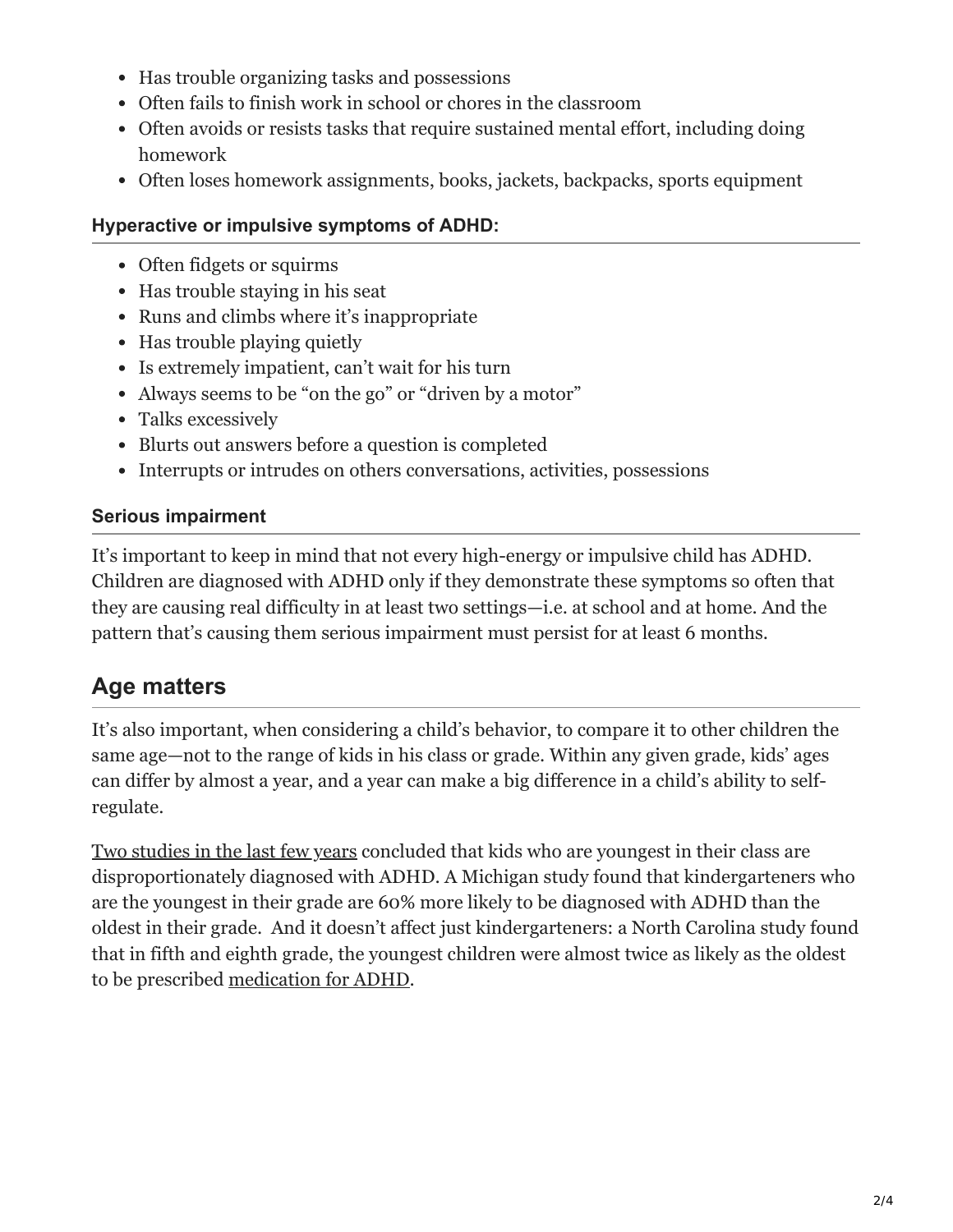- Has trouble organizing tasks and possessions
- Often fails to finish work in school or chores in the classroom
- Often avoids or resists tasks that require sustained mental effort, including doing homework
- Often loses homework assignments, books, jackets, backpacks, sports equipment

#### **Hyperactive or impulsive symptoms of ADHD:**

- Often fidgets or squirms
- Has trouble staying in his seat
- Runs and climbs where it's inappropriate
- Has trouble playing quietly
- Is extremely impatient, can't wait for his turn
- Always seems to be "on the go" or "driven by a motor"
- Talks excessively
- Blurts out answers before a question is completed
- Interrupts or intrudes on others conversations, activities, possessions

### **Serious impairment**

It's important to keep in mind that not every high-energy or impulsive child has ADHD. Children are diagnosed with ADHD only if they demonstrate these symptoms so often that they are causing real difficulty in at least two settings—i.e. at school and at home. And the pattern that's causing them serious impairment must persist for at least 6 months.

# **Age matters**

It's also important, when considering a child's behavior, to compare it to other children the same age—not to the range of kids in his class or grade. Within any given grade, kids' ages can differ by almost a year, and a year can make a big difference in a child's ability to selfregulate.

[Two studies in the last few years](http://www.npr.org/blogs/health/2010/08/17/129255572/a-second-thought-on-the-accuracy-of-adhd-diagnosis-in-kids) concluded that kids who are youngest in their class are disproportionately diagnosed with ADHD. A Michigan study found that kindergarteners who are the youngest in their grade are 60% more likely to be diagnosed with ADHD than the oldest in their grade. And it doesn't affect just kindergarteners: a North Carolina study found that in fifth and eighth grade, the youngest children were almost twice as likely as the oldest to be prescribed [medication for ADHD](https://childmind.org/article/understanding-adhd-medications/).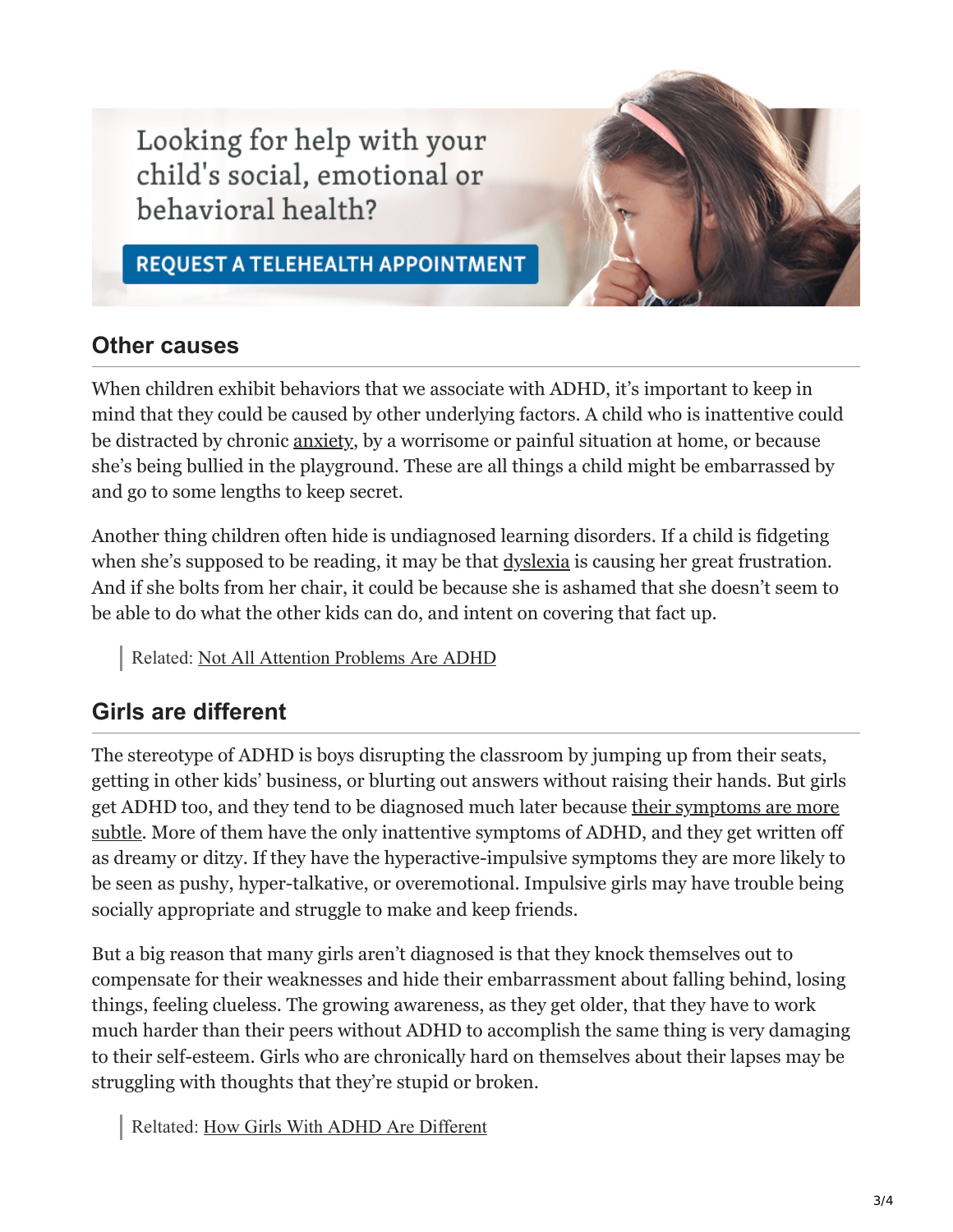Looking for help with your child's social, emotional or behavioral health?

**REQUEST A TELEHEALTH APPOINTMENT** 

### **Other causes**

When children exhibit behaviors that we associate with ADHD, it's important to keep in mind that they could be caused by other underlying factors. A child who is inattentive could be distracted by chronic [anxiety](https://childmind.org/article/how-to-avoid-passing-anxiety-on-to-your-kids/), by a worrisome or painful situation at home, or because she's being bullied in the playground. These are all things a child might be embarrassed by and go to some lengths to keep secret.

Another thing children often hide is undiagnosed learning disorders. If a child is fidgeting when she's supposed to be reading, it may be that <u>dyslexia</u> is causing her great frustration. And if she bolts from her chair, it could be because she is ashamed that she doesn't seem to be able to do what the other kids can do, and intent on covering that fact up.

Related: [Not All Attention Problems Are ADHD](https://childmind.org/article/not-all-attention-problems-are-adhd/)

### **Girls are different**

The stereotype of ADHD is boys disrupting the classroom by jumping up from their seats, getting in other kids' business, or blurting out answers without raising their hands. But girls [get ADHD too, and they tend to be diagnosed much later because their symptoms are more](https://childmind.org/article/how-girls-with-adhd-are-different/) subtle. More of them have the only inattentive symptoms of ADHD, and they get written off as dreamy or ditzy. If they have the hyperactive-impulsive symptoms they are more likely to be seen as pushy, hyper-talkative, or overemotional. Impulsive girls may have trouble being socially appropriate and struggle to make and keep friends.

But a big reason that many girls aren't diagnosed is that they knock themselves out to compensate for their weaknesses and hide their embarrassment about falling behind, losing things, feeling clueless. The growing awareness, as they get older, that they have to work much harder than their peers without ADHD to accomplish the same thing is very damaging to their self-esteem. Girls who are chronically hard on themselves about their lapses may be struggling with thoughts that they're stupid or broken.

Reltated: [How Girls With ADHD Are Different](https://childmind.org/article/how-girls-with-adhd-are-different/)